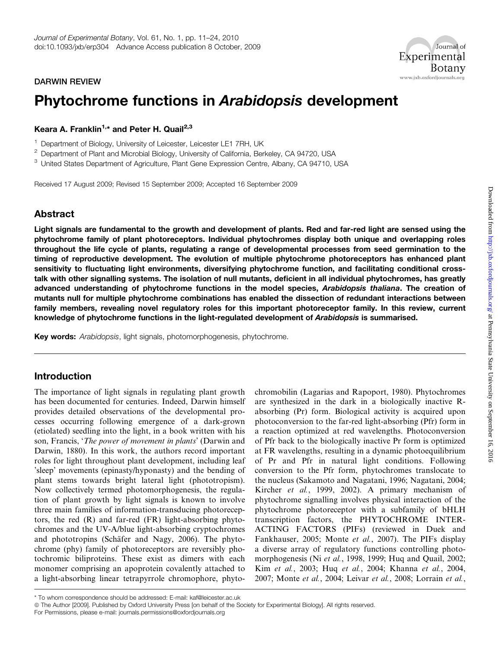### DARWIN REVIEW

# Phytochrome functions in Arabidopsis development

Keara A. Franklin<sup>1,\*</sup> and Peter H. Quail<sup>2,3</sup>

<sup>1</sup> Department of Biology, University of Leicester, Leicester LE1 7RH, UK

<sup>2</sup> Department of Plant and Microbial Biology, University of California, Berkeley, CA 94720, USA

<sup>3</sup> United States Department of Agriculture, Plant Gene Expression Centre, Albany, CA 94710, USA

Received 17 August 2009; Revised 15 September 2009; Accepted 16 September 2009

### Abstract

Light signals are fundamental to the growth and development of plants. Red and far-red light are sensed using the phytochrome family of plant photoreceptors. Individual phytochromes display both unique and overlapping roles throughout the life cycle of plants, regulating a range of developmental processes from seed germination to the timing of reproductive development. The evolution of multiple phytochrome photoreceptors has enhanced plant sensitivity to fluctuating light environments, diversifying phytochrome function, and facilitating conditional crosstalk with other signalling systems. The isolation of null mutants, deficient in all individual phytochromes, has greatly advanced understanding of phytochrome functions in the model species, Arabidopsis thaliana. The creation of mutants null for multiple phytochrome combinations has enabled the dissection of redundant interactions between family members, revealing novel regulatory roles for this important photoreceptor family. In this review, current knowledge of phytochrome functions in the light-regulated development of Arabidopsis is summarised.

Key words: Arabidopsis, light signals, photomorphogenesis, phytochrome.

### Introduction

The importance of light signals in regulating plant growth has been documented for centuries. Indeed, Darwin himself provides detailed observations of the developmental processes occurring following emergence of a dark-grown (etiolated) seedling into the light, in a book written with his son, Francis, 'The power of movement in plants' (Darwin and Darwin, 1880). In this work, the authors record important roles for light throughout plant development, including leaf 'sleep' movements (epinasty/hyponasty) and the bending of plant stems towards bright lateral light (phototropism). Now collectively termed photomorphogenesis, the regulation of plant growth by light signals is known to involve three main families of information-transducing photoreceptors, the red (R) and far-red (FR) light-absorbing phytochromes and the UV-A/blue light-absorbing cryptochromes and phototropins (Schäfer and Nagy, 2006). The phytochrome (phy) family of photoreceptors are reversibly photochromic biliproteins. These exist as dimers with each monomer comprising an apoprotein covalently attached to a light-absorbing linear tetrapyrrole chromophore, phytochromobilin (Lagarias and Rapoport, 1980). Phytochromes are synthesized in the dark in a biologically inactive Rabsorbing (Pr) form. Biological activity is acquired upon photoconversion to the far-red light-absorbing (Pfr) form in a reaction optimized at red wavelengths. Photoconversion of Pfr back to the biologically inactive Pr form is optimized at FR wavelengths, resulting in a dynamic photoequilibrium of Pr and Pfr in natural light conditions. Following conversion to the Pfr form, phytochromes translocate to the nucleus (Sakamoto and Nagatani, 1996; Nagatani, 2004; Kircher et al., 1999, 2002). A primary mechanism of phytochrome signalling involves physical interaction of the phytochrome photoreceptor with a subfamily of bHLH transcription factors, the PHYTOCHROME INTER-ACTING FACTORS (PIFs) (reviewed in Duek and Fankhauser, 2005; Monte et al., 2007). The PIFs display a diverse array of regulatory functions controlling photomorphogenesis (Ni et al., 1998, 1999; Huq and Quail, 2002; Kim et al., 2003; Huq et al., 2004; Khanna et al., 2004, 2007; Monte et al., 2004; Leivar et al., 2008; Lorrain et al.,

For Permissions, please e-mail: journals.permissions@oxfordjournals.org

Journal of

**Botany** 

Experimental

www.jxb.oxfordjournals.org

<sup>\*</sup> To whom correspondence should be addressed: E-mail: kaf@leicester.ac.uk

ª The Author [2009]. Published by Oxford University Press [on behalf of the Society for Experimental Biology]. All rights reserved.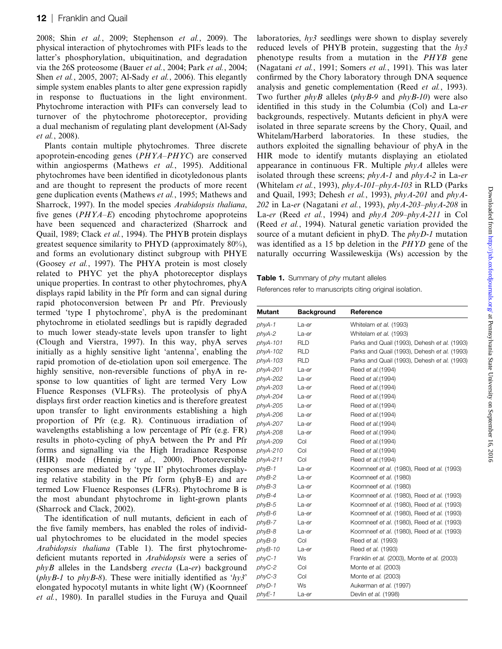2008; Shin et al., 2009; Stephenson et al., 2009). The physical interaction of phytochromes with PIFs leads to the latter's phosphorylation, ubiquitination, and degradation via the 26S proteosome (Bauer et al., 2004; Park et al., 2004; Shen *et al.*, 2005, 2007; Al-Sady *et al.*, 2006). This elegantly simple system enables plants to alter gene expression rapidly in response to fluctuations in the light environment. Phytochrome interaction with PIFs can conversely lead to turnover of the phytochrome photoreceptor, providing a dual mechanism of regulating plant development (Al-Sady et al., 2008).

Plants contain multiple phytochromes. Three discrete apoprotein-encoding genes (PHYA–PHYC) are conserved within angiosperms (Mathews et al., 1995). Additional phytochromes have been identified in dicotyledonous plants and are thought to represent the products of more recent gene duplication events (Mathews et al., 1995; Mathews and Sharrock, 1997). In the model species Arabidopsis thaliana, five genes  $(PHYA-E)$  encoding phytochrome apoproteins have been sequenced and characterized (Sharrock and Quail, 1989; Clack et al., 1994). The PHYB protein displays greatest sequence similarity to PHYD (approximately 80%), and forms an evolutionary distinct subgroup with PHYE (Goosey et al., 1997). The PHYA protein is most closely related to PHYC yet the phyA photoreceptor displays unique properties. In contrast to other phytochromes, phyA displays rapid lability in the Pfr form and can signal during rapid photoconversion between Pr and Pfr. Previously termed 'type I phytochrome', phyA is the predominant phytochrome in etiolated seedlings but is rapidly degraded to much lower steady-state levels upon transfer to light (Clough and Vierstra, 1997). In this way, phyA serves initially as a highly sensitive light 'antenna', enabling the rapid promotion of de-etiolation upon soil emergence. The highly sensitive, non-reversible functions of phyA in response to low quantities of light are termed Very Low Fluence Responses (VLFRs). The proteolysis of phyA displays first order reaction kinetics and is therefore greatest upon transfer to light environments establishing a high proportion of Pfr (e.g. R). Continuous irradiation of wavelengths establishing a low percentage of Pfr (e.g. FR) results in photo-cycling of phyA between the Pr and Pfr forms and signalling via the High Irradiance Response (HIR) mode (Hennig et al., 2000). Photoreversible responses are mediated by 'type II' phytochromes displaying relative stability in the Pfr form (phyB–E) and are termed Low Fluence Responses (LFRs). Phytochrome B is the most abundant phytochrome in light-grown plants (Sharrock and Clack, 2002).

The identification of null mutants, deficient in each of the five family members, has enabled the roles of individual phytochromes to be elucidated in the model species Arabidopsis thaliana (Table 1). The first phytochromedeficient mutants reported in Arabidopsis were a series of  $phyB$  alleles in the Landsberg erecta (La-er) background  $(\text{phvB-1})$  to  $\text{phvB-8}$ . These were initially identified as ' $\text{hv3}'$ ' elongated hypocotyl mutants in white light (W) (Koornneef et al., 1980). In parallel studies in the Furuya and Quail

laboratories, hy3 seedlings were shown to display severely reduced levels of PHYB protein, suggesting that the  $hy3$ phenotype results from a mutation in the PHYB gene (Nagatani et al., 1991; Somers et al., 1991). This was later confirmed by the Chory laboratory through DNA sequence analysis and genetic complementation (Reed et al., 1993). Two further  $phyB$  alleles  $(\rho hyB-9)$  and  $\rho hyB-10$ ) were also identified in this study in the Columbia (Col) and La-er backgrounds, respectively. Mutants deficient in phyA were isolated in three separate screens by the Chory, Quail, and Whitelam/Harberd laboratories. In these studies, the authors exploited the signalling behaviour of phyA in the HIR mode to identify mutants displaying an etiolated appearance in continuous FR. Multiple  $phyA$  alleles were isolated through these screens;  $phyA-I$  and  $phyA-2$  in La-er (Whitelam et al., 1993),  $phyA-101-phyA-103$  in RLD (Parks and Quail, 1993; Dehesh et al., 1993), phyA-201 and phyA-202 in La-er (Nagatani et al., 1993),  $phyA-203-phyA-208$  in La-er (Reed et al., 1994) and phyA 209–phyA-211 in Col (Reed et al., 1994). Natural genetic variation provided the source of a mutant deficient in phyD. The *phyD-1* mutation was identified as a 15 bp deletion in the PHYD gene of the naturally occurring Wassileweskija (Ws) accession by the

### Table 1. Summary of phy mutant alleles

References refer to manuscripts citing original isolation.

| Mutant<br><b>Background</b><br>Reference<br>phyA-1<br>Whitelam et al. (1993)<br>La-er<br>phyA-2<br>Whitelam et al. (1993)<br>La-er<br>phyA-101<br><b>RLD</b><br>phyA-102<br>RLD<br>phyA-103<br><b>RLD</b><br>phyA-201<br>Reed et al. (1994)<br>La-er<br>phyA-202<br>Reed et al. (1994)<br>La-er<br>phyA-203<br>Reed et al. (1994)<br>La-er<br>phyA-204<br>Reed et al. (1994)<br>La-er<br>phyA-205<br>Reed et al. (1994)<br>La-er<br>phyA-206<br>Reed et al. (1994)<br>La-er<br>phyA-207<br>Reed et al. (1994)<br>La-er<br>phyA-208<br>Reed et al. (1994)<br>La-er<br>Reed et al. (1994)<br>phyA-209<br>Col<br>Col<br>phyA-210<br>Reed et al. (1994)<br>Col<br>phyA-211<br>Reed et al. (1994)<br>Koornneef et al. (1980), Reed et al. (1993)<br>phyB-1<br>La-er<br>Koornneef et al. (1980)<br>phyB-2<br>La-er<br>phyB-3<br>Koornneef et al. (1980)<br>La-er<br>phyB-4<br>Koornneef et al. (1980), Reed et al. (1993)<br>La-er<br>Koornneef et al. (1980), Reed et al. (1993)<br>phyB-5<br>La-er<br>Koornneef et al. (1980), Reed et al. (1993)<br>phyB-6<br>La-er<br>phyB-7<br>Koornneef et al. (1980), Reed et al. (1993)<br>La-er<br>phyB-8<br>Koornneef et al. (1980), Reed et al. (1993)<br>La-er<br>phyB-9<br>Col<br>Reed et al. (1993)<br>phyB-10<br>Reed et al. (1993)<br>La-er<br>phyC-1<br>Ws<br>Franklin et al. (2003), Monte et al. (2003)<br>phyC-2<br>Col<br>Monte et al. (2003)<br>phyC-3<br>Col<br>Monte et al. (2003)<br>phyD-1<br>Ws<br>Aukerman et al. (1997)<br>Devlin et al. (1998)<br>phyE-1<br>La-er |  |                                              |  |
|---------------------------------------------------------------------------------------------------------------------------------------------------------------------------------------------------------------------------------------------------------------------------------------------------------------------------------------------------------------------------------------------------------------------------------------------------------------------------------------------------------------------------------------------------------------------------------------------------------------------------------------------------------------------------------------------------------------------------------------------------------------------------------------------------------------------------------------------------------------------------------------------------------------------------------------------------------------------------------------------------------------------------------------------------------------------------------------------------------------------------------------------------------------------------------------------------------------------------------------------------------------------------------------------------------------------------------------------------------------------------------------------------------------------------------------------------------------------------------------------------------------------------|--|----------------------------------------------|--|
|                                                                                                                                                                                                                                                                                                                                                                                                                                                                                                                                                                                                                                                                                                                                                                                                                                                                                                                                                                                                                                                                                                                                                                                                                                                                                                                                                                                                                                                                                                                           |  |                                              |  |
|                                                                                                                                                                                                                                                                                                                                                                                                                                                                                                                                                                                                                                                                                                                                                                                                                                                                                                                                                                                                                                                                                                                                                                                                                                                                                                                                                                                                                                                                                                                           |  |                                              |  |
|                                                                                                                                                                                                                                                                                                                                                                                                                                                                                                                                                                                                                                                                                                                                                                                                                                                                                                                                                                                                                                                                                                                                                                                                                                                                                                                                                                                                                                                                                                                           |  |                                              |  |
|                                                                                                                                                                                                                                                                                                                                                                                                                                                                                                                                                                                                                                                                                                                                                                                                                                                                                                                                                                                                                                                                                                                                                                                                                                                                                                                                                                                                                                                                                                                           |  | Parks and Quail (1993), Dehesh et al. (1993) |  |
|                                                                                                                                                                                                                                                                                                                                                                                                                                                                                                                                                                                                                                                                                                                                                                                                                                                                                                                                                                                                                                                                                                                                                                                                                                                                                                                                                                                                                                                                                                                           |  | Parks and Quail (1993), Dehesh et al. (1993) |  |
|                                                                                                                                                                                                                                                                                                                                                                                                                                                                                                                                                                                                                                                                                                                                                                                                                                                                                                                                                                                                                                                                                                                                                                                                                                                                                                                                                                                                                                                                                                                           |  | Parks and Quail (1993), Dehesh et al. (1993) |  |
|                                                                                                                                                                                                                                                                                                                                                                                                                                                                                                                                                                                                                                                                                                                                                                                                                                                                                                                                                                                                                                                                                                                                                                                                                                                                                                                                                                                                                                                                                                                           |  |                                              |  |
|                                                                                                                                                                                                                                                                                                                                                                                                                                                                                                                                                                                                                                                                                                                                                                                                                                                                                                                                                                                                                                                                                                                                                                                                                                                                                                                                                                                                                                                                                                                           |  |                                              |  |
|                                                                                                                                                                                                                                                                                                                                                                                                                                                                                                                                                                                                                                                                                                                                                                                                                                                                                                                                                                                                                                                                                                                                                                                                                                                                                                                                                                                                                                                                                                                           |  |                                              |  |
|                                                                                                                                                                                                                                                                                                                                                                                                                                                                                                                                                                                                                                                                                                                                                                                                                                                                                                                                                                                                                                                                                                                                                                                                                                                                                                                                                                                                                                                                                                                           |  |                                              |  |
|                                                                                                                                                                                                                                                                                                                                                                                                                                                                                                                                                                                                                                                                                                                                                                                                                                                                                                                                                                                                                                                                                                                                                                                                                                                                                                                                                                                                                                                                                                                           |  |                                              |  |
|                                                                                                                                                                                                                                                                                                                                                                                                                                                                                                                                                                                                                                                                                                                                                                                                                                                                                                                                                                                                                                                                                                                                                                                                                                                                                                                                                                                                                                                                                                                           |  |                                              |  |
|                                                                                                                                                                                                                                                                                                                                                                                                                                                                                                                                                                                                                                                                                                                                                                                                                                                                                                                                                                                                                                                                                                                                                                                                                                                                                                                                                                                                                                                                                                                           |  |                                              |  |
|                                                                                                                                                                                                                                                                                                                                                                                                                                                                                                                                                                                                                                                                                                                                                                                                                                                                                                                                                                                                                                                                                                                                                                                                                                                                                                                                                                                                                                                                                                                           |  |                                              |  |
|                                                                                                                                                                                                                                                                                                                                                                                                                                                                                                                                                                                                                                                                                                                                                                                                                                                                                                                                                                                                                                                                                                                                                                                                                                                                                                                                                                                                                                                                                                                           |  |                                              |  |
|                                                                                                                                                                                                                                                                                                                                                                                                                                                                                                                                                                                                                                                                                                                                                                                                                                                                                                                                                                                                                                                                                                                                                                                                                                                                                                                                                                                                                                                                                                                           |  |                                              |  |
|                                                                                                                                                                                                                                                                                                                                                                                                                                                                                                                                                                                                                                                                                                                                                                                                                                                                                                                                                                                                                                                                                                                                                                                                                                                                                                                                                                                                                                                                                                                           |  |                                              |  |
|                                                                                                                                                                                                                                                                                                                                                                                                                                                                                                                                                                                                                                                                                                                                                                                                                                                                                                                                                                                                                                                                                                                                                                                                                                                                                                                                                                                                                                                                                                                           |  |                                              |  |
|                                                                                                                                                                                                                                                                                                                                                                                                                                                                                                                                                                                                                                                                                                                                                                                                                                                                                                                                                                                                                                                                                                                                                                                                                                                                                                                                                                                                                                                                                                                           |  |                                              |  |
|                                                                                                                                                                                                                                                                                                                                                                                                                                                                                                                                                                                                                                                                                                                                                                                                                                                                                                                                                                                                                                                                                                                                                                                                                                                                                                                                                                                                                                                                                                                           |  |                                              |  |
|                                                                                                                                                                                                                                                                                                                                                                                                                                                                                                                                                                                                                                                                                                                                                                                                                                                                                                                                                                                                                                                                                                                                                                                                                                                                                                                                                                                                                                                                                                                           |  |                                              |  |
|                                                                                                                                                                                                                                                                                                                                                                                                                                                                                                                                                                                                                                                                                                                                                                                                                                                                                                                                                                                                                                                                                                                                                                                                                                                                                                                                                                                                                                                                                                                           |  |                                              |  |
|                                                                                                                                                                                                                                                                                                                                                                                                                                                                                                                                                                                                                                                                                                                                                                                                                                                                                                                                                                                                                                                                                                                                                                                                                                                                                                                                                                                                                                                                                                                           |  |                                              |  |
|                                                                                                                                                                                                                                                                                                                                                                                                                                                                                                                                                                                                                                                                                                                                                                                                                                                                                                                                                                                                                                                                                                                                                                                                                                                                                                                                                                                                                                                                                                                           |  |                                              |  |
|                                                                                                                                                                                                                                                                                                                                                                                                                                                                                                                                                                                                                                                                                                                                                                                                                                                                                                                                                                                                                                                                                                                                                                                                                                                                                                                                                                                                                                                                                                                           |  |                                              |  |
|                                                                                                                                                                                                                                                                                                                                                                                                                                                                                                                                                                                                                                                                                                                                                                                                                                                                                                                                                                                                                                                                                                                                                                                                                                                                                                                                                                                                                                                                                                                           |  |                                              |  |
|                                                                                                                                                                                                                                                                                                                                                                                                                                                                                                                                                                                                                                                                                                                                                                                                                                                                                                                                                                                                                                                                                                                                                                                                                                                                                                                                                                                                                                                                                                                           |  |                                              |  |
|                                                                                                                                                                                                                                                                                                                                                                                                                                                                                                                                                                                                                                                                                                                                                                                                                                                                                                                                                                                                                                                                                                                                                                                                                                                                                                                                                                                                                                                                                                                           |  |                                              |  |
|                                                                                                                                                                                                                                                                                                                                                                                                                                                                                                                                                                                                                                                                                                                                                                                                                                                                                                                                                                                                                                                                                                                                                                                                                                                                                                                                                                                                                                                                                                                           |  |                                              |  |
|                                                                                                                                                                                                                                                                                                                                                                                                                                                                                                                                                                                                                                                                                                                                                                                                                                                                                                                                                                                                                                                                                                                                                                                                                                                                                                                                                                                                                                                                                                                           |  |                                              |  |
|                                                                                                                                                                                                                                                                                                                                                                                                                                                                                                                                                                                                                                                                                                                                                                                                                                                                                                                                                                                                                                                                                                                                                                                                                                                                                                                                                                                                                                                                                                                           |  |                                              |  |
|                                                                                                                                                                                                                                                                                                                                                                                                                                                                                                                                                                                                                                                                                                                                                                                                                                                                                                                                                                                                                                                                                                                                                                                                                                                                                                                                                                                                                                                                                                                           |  |                                              |  |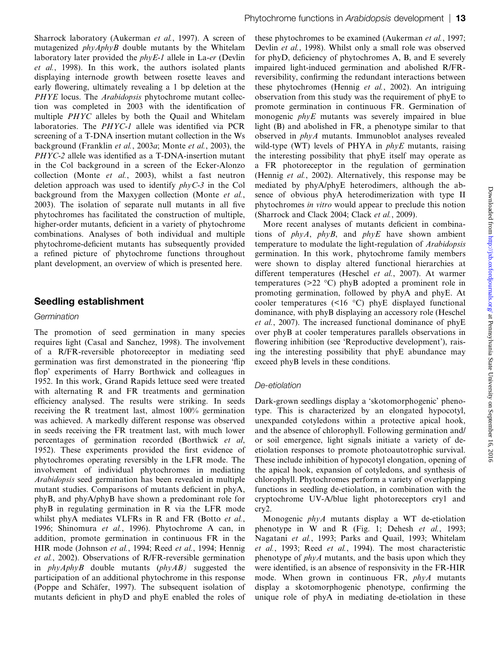Sharrock laboratory (Aukerman et al., 1997). A screen of mutagenized phyAphyB double mutants by the Whitelam laboratory later provided the *phyE-1* allele in La-er (Devlin et al., 1998). In this work, the authors isolated plants displaying internode growth between rosette leaves and early flowering, ultimately revealing a 1 bp deletion at the PHYE locus. The *Arabidopsis* phytochrome mutant collection was completed in 2003 with the identification of multiple PHYC alleles by both the Quail and Whitelam laboratories. The PHYC-1 allele was identified via PCR screening of a T-DNA insertion mutant collection in the Ws background (Franklin et al., 2003a; Monte et al., 2003), the PHYC-2 allele was identified as a T-DNA-insertion mutant in the Col background in a screen of the Ecker-Alonzo collection (Monte et al., 2003), whilst a fast neutron deletion approach was used to identify  $phyC-3$  in the Col background from the Maxygen collection (Monte et al., 2003). The isolation of separate null mutants in all five phytochromes has facilitated the construction of multiple, higher-order mutants, deficient in a variety of phytochrome combinations. Analyses of both individual and multiple phytochrome-deficient mutants has subsequently provided a refined picture of phytochrome functions throughout plant development, an overview of which is presented here.

# Seedling establishment

#### **Germination**

The promotion of seed germination in many species requires light (Casal and Sanchez, 1998). The involvement of a R/FR-reversible photoreceptor in mediating seed germination was first demonstrated in the pioneering 'flip flop' experiments of Harry Borthwick and colleagues in 1952. In this work, Grand Rapids lettuce seed were treated with alternating R and FR treatments and germination efficiency analysed. The results were striking. In seeds receiving the R treatment last, almost 100% germination was achieved. A markedly different response was observed in seeds receiving the FR treatment last, with much lower percentages of germination recorded (Borthwick et al, 1952). These experiments provided the first evidence of phytochromes operating reversibly in the LFR mode. The involvement of individual phytochromes in mediating Arabidopsis seed germination has been revealed in multiple mutant studies. Comparisons of mutants deficient in phyA, phyB, and phyA/phyB have shown a predominant role for phyB in regulating germination in R via the LFR mode whilst phyA mediates VLFRs in R and FR (Botto et al., 1996; Shinomura et al., 1996). Phytochrome A can, in addition, promote germination in continuous FR in the HIR mode (Johnson et al., 1994; Reed et al., 1994; Hennig et al., 2002). Observations of R/FR-reversible germination in  $phyAphyB$  double mutants  $(phyAB)$  suggested the participation of an additional phytochrome in this response (Poppe and Schäfer, 1997). The subsequent isolation of mutants deficient in phyD and phyE enabled the roles of these phytochromes to be examined (Aukerman et al., 1997; Devlin et al., 1998). Whilst only a small role was observed for phyD, deficiency of phytochromes A, B, and E severely impaired light-induced germination and abolished R/FRreversibility, confirming the redundant interactions between these phytochromes (Hennig et al., 2002). An intriguing observation from this study was the requirement of phyE to promote germination in continuous FR. Germination of monogenic  $phyE$  mutants was severely impaired in blue light (B) and abolished in FR, a phenotype similar to that observed in phyA mutants. Immunoblot analyses revealed wild-type (WT) levels of PHYA in  $phyE$  mutants, raising the interesting possibility that phyE itself may operate as a FR photoreceptor in the regulation of germination (Hennig et al., 2002). Alternatively, this response may be mediated by phyA/phyE heterodimers, although the absence of obvious phyA heterodimerization with type II phytochromes in vitro would appear to preclude this notion (Sharrock and Clack 2004; Clack et al., 2009).

More recent analyses of mutants deficient in combinations of phyA, phyB, and phyE have shown ambient temperature to modulate the light-regulation of Arabidopsis germination. In this work, phytochrome family members were shown to display altered functional hierarchies at different temperatures (Heschel et al., 2007). At warmer temperatures ( $>22$  °C) phyB adopted a prominent role in promoting germination, followed by phyA and phyE. At cooler temperatures  $(\leq 16 \degree C)$  phyE displayed functional dominance, with phyB displaying an accessory role (Heschel et al., 2007). The increased functional dominance of phyE over phyB at cooler temperatures parallels observations in flowering inhibition (see 'Reproductive development'), raising the interesting possibility that phyE abundance may exceed phyB levels in these conditions.

### De-etiolation

Dark-grown seedlings display a 'skotomorphogenic' phenotype. This is characterized by an elongated hypocotyl, unexpanded cotyledons within a protective apical hook, and the absence of chlorophyll. Following germination and/ or soil emergence, light signals initiate a variety of deetiolation responses to promote photoautotrophic survival. These include inhibition of hypocotyl elongation, opening of the apical hook, expansion of cotyledons, and synthesis of chlorophyll. Phytochromes perform a variety of overlapping functions in seedling de-etiolation, in combination with the cryptochrome UV-A/blue light photoreceptors cry1 and cry2.

Monogenic phyA mutants display a WT de-etiolation phenotype in W and R (Fig. 1; Dehesh et al., 1993; Nagatani et al., 1993; Parks and Quail, 1993; Whitelam et al., 1993; Reed et al., 1994). The most characteristic phenotype of  $phyA$  mutants, and the basis upon which they were identified, is an absence of responsivity in the FR-HIR mode. When grown in continuous FR, phyA mutants display a skotomorphogenic phenotype, confirming the unique role of phyA in mediating de-etiolation in these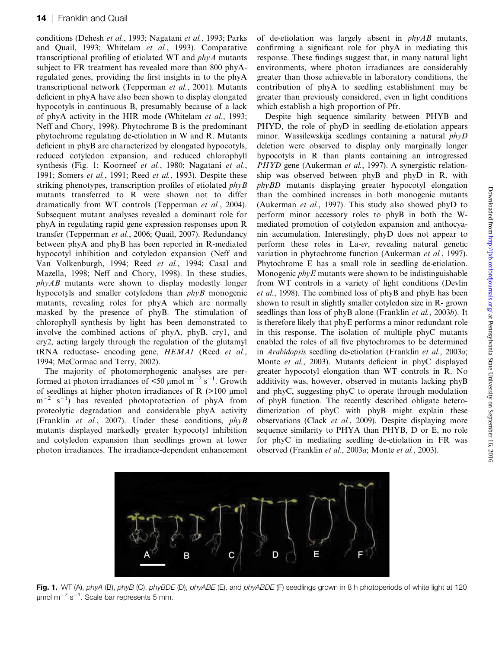conditions (Dehesh et al., 1993; Nagatani et al., 1993; Parks and Quail, 1993; Whitelam et al., 1993). Comparative transcriptional profiling of etiolated WT and phyA mutants subject to FR treatment has revealed more than 800 phyAregulated genes, providing the first insights in to the phyA transcriptional network (Tepperman et al., 2001). Mutants deficient in phyA have also been shown to display elongated hypocotyls in continuous B, presumably because of a lack of phyA activity in the HIR mode (Whitelam et al., 1993; Neff and Chory, 1998). Phytochrome B is the predominant phytochrome regulating de-etiolation in W and R. Mutants deficient in phyB are characterized by elongated hypocotyls, reduced cotyledon expansion, and reduced chlorophyll synthesis (Fig. 1; Koorneef et al., 1980; Nagatani et al., 1991; Somers et al., 1991; Reed et al., 1993). Despite these striking phenotypes, transcription profiles of etiolated  $phyB$ mutants transferred to R were shown not to differ dramatically from WT controls (Tepperman et al., 2004). Subsequent mutant analyses revealed a dominant role for phyA in regulating rapid gene expression responses upon R transfer (Tepperman et al., 2006; Quail, 2007). Redundancy between phyA and phyB has been reported in R-mediated hypocotyl inhibition and cotyledon expansion (Neff and Van Volkenburgh, 1994; Reed et al., 1994; Casal and Mazella, 1998; Neff and Chory, 1998). In these studies,  $phvAB$  mutants were shown to display modestly longer hypocotyls and smaller cotyledons than phyB monogenic mutants, revealing roles for phyA which are normally masked by the presence of phyB. The stimulation of chlorophyll synthesis by light has been demonstrated to involve the combined actions of phyA, phyB, cry1, and cry2, acting largely through the regulation of the glutamyl tRNA reductase- encoding gene, HEMA1 (Reed et al., 1994; McCormac and Terry, 2002).

The majority of photomorphogenic analyses are performed at photon irradiances of  $\leq 50$  µmol m<sup>-2</sup> s<sup>-1</sup>. Growth of seedlings at higher photon irradiances of R  $(>100 \mu m)$  $m^{-2}$  s<sup>-1</sup>) has revealed photoprotection of phyA from proteolytic degradation and considerable phyA activity (Franklin et al., 2007). Under these conditions, phyB mutants displayed markedly greater hypocotyl inhibition and cotyledon expansion than seedlings grown at lower photon irradiances. The irradiance-dependent enhancement of de-etiolation was largely absent in  $phyAB$  mutants, confirming a significant role for phyA in mediating this response. These findings suggest that, in many natural light environments, where photon irradiances are considerably greater than those achievable in laboratory conditions, the contribution of phyA to seedling establishment may be greater than previously considered, even in light conditions which establish a high proportion of Pfr.

Despite high sequence similarity between PHYB and PHYD, the role of phyD in seedling de-etiolation appears minor. Wassilewskija seedlings containing a natural phyD deletion were observed to display only marginally longer hypocotyls in R than plants containing an introgressed PHYD gene (Aukerman et al., 1997). A synergistic relationship was observed between phyB and phyD in R, with phyBD mutants displaying greater hypocotyl elongation than the combined increases in both monogenic mutants (Aukerman et al., 1997). This study also showed phyD to perform minor accessory roles to phyB in both the Wmediated promotion of cotyledon expansion and anthocyanin accumulation. Interestingly, phyD does not appear to perform these roles in La-er, revealing natural genetic variation in phytochrome function (Aukerman et al., 1997). Phytochrome E has a small role in seedling de-etiolation. Monogenic  $phyE$  mutants were shown to be indistinguishable from WT controls in a variety of light conditions (Devlin et al., 1998). The combined loss of phyB and phyE has been shown to result in slightly smaller cotyledon size in R- grown seedlings than loss of phyB alone (Franklin et al., 2003b). It is therefore likely that phyE performs a minor redundant role in this response. The isolation of multiple phyC mutants enabled the roles of all five phytochromes to be determined in Arabidopsis seedling de-etiolation (Franklin et al., 2003a; Monte et al., 2003). Mutants deficient in phyC displayed greater hypocotyl elongation than WT controls in R. No additivity was, however, observed in mutants lacking phyB and phyC, suggesting phyC to operate through modulation of phyB function. The recently described obligate heterodimerization of phyC with phyB might explain these observations (Clack et al., 2009). Despite displaying more sequence similarity to PHYA than PHYB, D or E, no role for phyC in mediating seedling de-etiolation in FR was observed (Franklin et al., 2003a; Monte et al., 2003).



Fig. 1. WT (A), phyA (B), phyB (C), phyBDE (D), phyABE (E), and phyABDE (F) seedlings grown in 8 h photoperiods of white light at 120  $\mu$ mol m $^{-2}$  s $^{-1}$ . Scale bar represents 5 mm.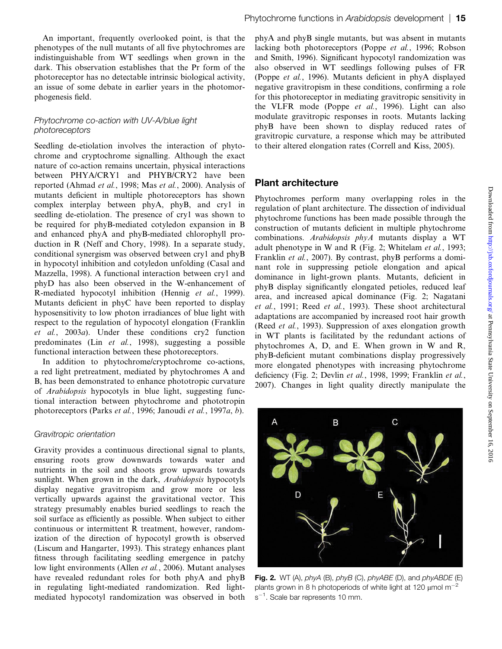An important, frequently overlooked point, is that the phenotypes of the null mutants of all five phytochromes are indistinguishable from WT seedlings when grown in the dark. This observation establishes that the Pr form of the photoreceptor has no detectable intrinsic biological activity, an issue of some debate in earlier years in the photomorphogenesis field.

### Phytochrome co-action with UV-A/blue light photoreceptors

Seedling de-etiolation involves the interaction of phytochrome and cryptochrome signalling. Although the exact nature of co-action remains uncertain, physical interactions between PHYA/CRY1 and PHYB/CRY2 have been reported (Ahmad et al., 1998; Mas et al., 2000). Analysis of mutants deficient in multiple photoreceptors has shown complex interplay between phyA, phyB, and cry1 in seedling de-etiolation. The presence of cry1 was shown to be required for phyB-mediated cotyledon expansion in B and enhanced phyA and phyB-mediated chlorophyll production in R (Neff and Chory, 1998). In a separate study, conditional synergism was observed between cry1 and phyB in hypocotyl inhibition and cotyledon unfolding (Casal and Mazzella, 1998). A functional interaction between cry1 and phyD has also been observed in the W-enhancement of R-mediated hypocotyl inhibition (Hennig et al., 1999). Mutants deficient in phyC have been reported to display hyposensitivity to low photon irradiances of blue light with respect to the regulation of hypocotyl elongation (Franklin et al., 2003a). Under these conditions cry2 function predominates (Lin et al., 1998), suggesting a possible functional interaction between these photoreceptors.

In addition to phytochrome/cryptochrome co-actions, a red light pretreatment, mediated by phytochromes A and B, has been demonstrated to enhance phototropic curvature of Arabidopsis hypocotyls in blue light, suggesting functional interaction between phytochrome and phototropin photoreceptors (Parks et al., 1996; Janoudi et al., 1997a, b).

### Gravitropic orientation

Gravity provides a continuous directional signal to plants, ensuring roots grow downwards towards water and nutrients in the soil and shoots grow upwards towards sunlight. When grown in the dark, *Arabidopsis* hypocotyls display negative gravitropism and grow more or less vertically upwards against the gravitational vector. This strategy presumably enables buried seedlings to reach the soil surface as efficiently as possible. When subject to either continuous or intermittent R treatment, however, randomization of the direction of hypocotyl growth is observed (Liscum and Hangarter, 1993). This strategy enhances plant fitness through facilitating seedling emergence in patchy low light environments (Allen et al., 2006). Mutant analyses have revealed redundant roles for both phyA and phyB in regulating light-mediated randomization. Red lightmediated hypocotyl randomization was observed in both phyA and phyB single mutants, but was absent in mutants lacking both photoreceptors (Poppe et al., 1996; Robson and Smith, 1996). Significant hypocotyl randomization was also observed in WT seedlings following pulses of FR (Poppe et al., 1996). Mutants deficient in phyA displayed negative gravitropism in these conditions, confirming a role for this photoreceptor in mediating gravitropic sensitivity in the VLFR mode (Poppe et al., 1996). Light can also modulate gravitropic responses in roots. Mutants lacking phyB have been shown to display reduced rates of gravitropic curvature, a response which may be attributed to their altered elongation rates (Correll and Kiss, 2005).

### Plant architecture

Phytochromes perform many overlapping roles in the regulation of plant architecture. The dissection of individual phytochrome functions has been made possible through the construction of mutants deficient in multiple phytochrome combinations. Arabidopsis phyA mutants display a WT adult phenotype in W and R (Fig. 2; Whitelam et al., 1993; Franklin et al., 2007). By contrast, phyB performs a dominant role in suppressing petiole elongation and apical dominance in light-grown plants. Mutants, deficient in phyB display significantly elongated petioles, reduced leaf area, and increased apical dominance (Fig. 2; Nagatani et al., 1991; Reed et al., 1993). These shoot architectural adaptations are accompanied by increased root hair growth (Reed et al., 1993). Suppression of axes elongation growth in WT plants is facilitated by the redundant actions of phytochromes A, D, and E. When grown in W and R, phyB-deficient mutant combinations display progressively more elongated phenotypes with increasing phytochrome deficiency (Fig. 2; Devlin et al., 1998, 1999; Franklin et al., 2007). Changes in light quality directly manipulate the



Fig. 2. WT (A),  $phyA$  (B),  $phyB$  (C),  $phyABE$  (D), and  $phyABDE$  (E) plants grown in 8 h photoperiods of white light at 120  $\mu$ mol m<sup>-2</sup>  $s^{-1}$ . Scale bar represents 10 mm.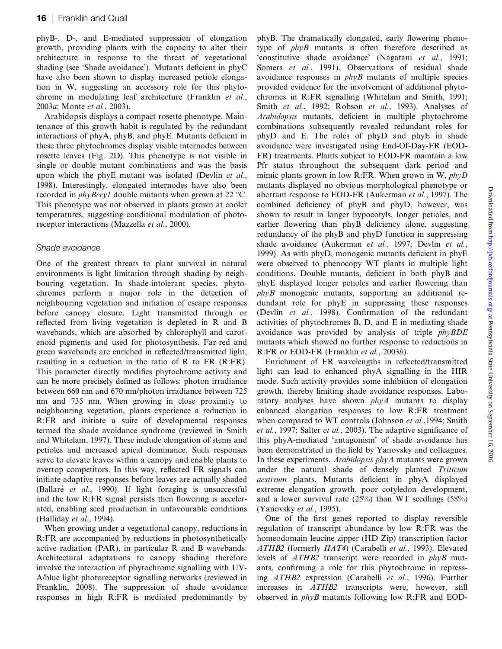phyB-, D-, and E-mediated suppression of elongation growth, providing plants with the capacity to alter their architecture in response to the threat of vegetational shading (see 'Shade avoidance'). Mutants deficient in phyC have also been shown to display increased petiole elongation in W, suggesting an accessory role for this phytochrome in modulating leaf architecture (Franklin et al., 2003a; Monte et al., 2003).

Arabidopsis displays a compact rosette phenotype. Maintenance of this growth habit is regulated by the redundant interactions of phyA, phyB, and phyE. Mutants deficient in these three phytochromes display visible internodes between rosette leaves (Fig. 2D). This phenotype is not visible in single or double mutant combinations and was the basis upon which the phyE mutant was isolated (Devlin et al., 1998). Interestingly, elongated internodes have also been recorded in *phyBcry1* double mutants when grown at 22  $\degree$ C. This phenotype was not observed in plants grown at cooler temperatures, suggesting conditional modulation of photoreceptor interactions (Mazzella et al., 2000).

### Shade avoidance

One of the greatest threats to plant survival in natural environments is light limitation through shading by neighbouring vegetation. In shade-intolerant species, phytochromes perform a major role in the detection of neighbouring vegetation and initiation of escape responses before canopy closure. Light transmitted through or reflected from living vegetation is depleted in R and B wavebands, which are absorbed by chlorophyll and carotenoid pigments and used for photosynthesis. Far-red and green wavebands are enriched in reflected/transmitted light, resulting in a reduction in the ratio of R to FR (R:FR). This parameter directly modifies phytochrome activity and can be more precisely defined as follows: photon irradiance between 660 nm and 670 nm/photon irradiance between 725 nm and 735 nm. When growing in close proximity to neighbouring vegetation, plants experience a reduction in R:FR and initiate a suite of developmental responses termed the shade avoidance syndrome (reviewed in Smith and Whitelam, 1997). These include elongation of stems and petioles and increased apical dominance. Such responses serve to elevate leaves within a canopy and enable plants to overtop competitors. In this way, reflected FR signals can initiate adaptive responses before leaves are actually shaded (Ballaré *et al.*, 1990). If light foraging is unsuccessful and the low R:FR signal persists then flowering is accelerated, enabling seed production in unfavourable conditions (Halliday et al., 1994).

When growing under a vegetational canopy, reductions in R:FR are accompanied by reductions in photosynthetically active radiation (PAR), in particular R and B wavebands. Architectural adaptations to canopy shading therefore involve the interaction of phytochrome signalling with UV-A/blue light photoreceptor signalling networks (reviewed in Franklin, 2008). The suppression of shade avoidance responses in high R:FR is mediated predominantly by

phyB. The dramatically elongated, early flowering phenotype of phyB mutants is often therefore described as 'constitutive shade avoidance' (Nagatani et al., 1991; Somers et al., 1991). Observations of residual shade avoidance responses in  $phyB$  mutants of multiple species provided evidence for the involvement of additional phytochromes in R:FR signalling (Whitelam and Smith, 1991; Smith et al., 1992; Robson et al., 1993). Analyses of Arabidopsis mutants, deficient in multiple phytochrome combinations subsequently revealed redundant roles for phyD and E. The roles of phyD and phyE in shade avoidance were investigated using End-Of-Day-FR (EOD-FR) treatments. Plants subject to EOD-FR maintain a low Pfr status throughout the subsequent dark period and mimic plants grown in low R:FR. When grown in W,  $phyD$ mutants displayed no obvious morphological phenotype or aberrant response to EOD-FR (Aukerman et al., 1997). The combined deficiency of phyB and phyD, however, was shown to result in longer hypocotyls, longer petioles, and earlier flowering than phyB deficiency alone, suggesting redundancy of the phyB and phyD function in suppressing shade avoidance (Aukerman et al., 1997; Devlin et al., 1999). As with phyD, monogenic mutants deficient in phyE were observed to phenocopy WT plants in multiple light conditions. Double mutants, deficient in both phyB and phyE displayed longer petioles and earlier flowering than  $phvB$  monogenic mutants, supporting an additional redundant role for phyE in suppressing these responses (Devlin et al., 1998). Confirmation of the redundant activities of phytochromes B, D, and E in mediating shade avoidance was provided by analysis of triple  $phyBDE$ mutants which showed no further response to reductions in R:FR or EOD-FR (Franklin et al., 2003b).

Enrichment of FR wavelengths in reflected/transmitted light can lead to enhanced phyA signalling in the HIR mode. Such activity provides some inhibition of elongation growth, thereby limiting shade avoidance responses. Laboratory analyses have shown  $phyA$  mutants to display enhanced elongation responses to low R:FR treatment when compared to WT controls (Johnson et al., 1994; Smith et al., 1997; Salter et al., 2003). The adaptive significance of this phyA-mediated 'antagonism' of shade avoidance has been demonstrated in the field by Yanovsky and colleagues. In these experiments, Arabidopsis phyA mutants were grown under the natural shade of densely planted Triticum aestivum plants. Mutants deficient in phyA displayed extreme elongation growth, poor cotyledon development, and a lower survival rate  $(25\%)$  than WT seedlings  $(58\%)$ (Yanovsky et al., 1995).

One of the first genes reported to display reversible regulation of transcript abundance by low R:FR was the homeodomain leucine zipper (HD Zip) transcription factor ATHB2 (formerly HAT4) (Carabelli et al., 1993). Elevated levels of ATHB2 transcript were recorded in phyB mutants, confirming a role for this phytochrome in repressing ATHB2 expression (Carabelli et al., 1996). Further increases in ATHB2 transcripts were, however, still observed in phyB mutants following low R:FR and EOD-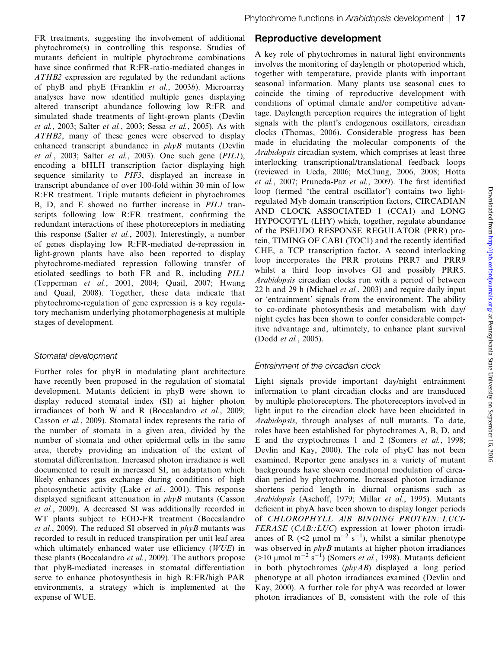FR treatments, suggesting the involvement of additional phytochrome(s) in controlling this response. Studies of mutants deficient in multiple phytochrome combinations have since confirmed that R:FR-ratio-mediated changes in ATHB2 expression are regulated by the redundant actions of phyB and phyE (Franklin et al., 2003b). Microarray analyses have now identified multiple genes displaying altered transcript abundance following low R:FR and simulated shade treatments of light-grown plants (Devlin et al., 2003; Salter et al., 2003; Sessa et al., 2005). As with ATHB2, many of these genes were observed to display enhanced transcript abundance in  $phyB$  mutants (Devlin et al., 2003; Salter et al., 2003). One such gene (PIL1), encoding a bHLH transcription factor displaying high sequence similarity to PIF3, displayed an increase in transcript abundance of over 100-fold within 30 min of low R:FR treatment. Triple mutants deficient in phytochromes B, D, and E showed no further increase in PIL1 transcripts following low R:FR treatment, confirming the redundant interactions of these photoreceptors in mediating this response (Salter et al., 2003). Interestingly, a number of genes displaying low R:FR-mediated de-repression in light-grown plants have also been reported to display phytochrome-mediated repression following transfer of etiolated seedlings to both FR and R, including PIL1 (Tepperman et al., 2001, 2004; Quail, 2007; Hwang and Quail, 2008). Together, these data indicate that phytochrome-regulation of gene expression is a key regulatory mechanism underlying photomorphogenesis at multiple stages of development.

### Stomatal development

Further roles for phyB in modulating plant architecture have recently been proposed in the regulation of stomatal development. Mutants deficient in phyB were shown to display reduced stomatal index (SI) at higher photon irradiances of both W and R (Boccalandro et al., 2009; Casson et al., 2009). Stomatal index represents the ratio of the number of stomata in a given area, divided by the number of stomata and other epidermal cells in the same area, thereby providing an indication of the extent of stomatal differentiation. Increased photon irradiance is well documented to result in increased SI, an adaptation which likely enhances gas exchange during conditions of high photosynthetic activity (Lake et al., 2001). This response displayed significant attenuation in  $phvB$  mutants (Casson et al., 2009). A decreased SI was additionally recorded in WT plants subject to EOD-FR treatment (Boccalandro *et al.*, 2009). The reduced SI observed in  $phyB$  mutants was recorded to result in reduced transpiration per unit leaf area which ultimately enhanced water use efficiency (WUE) in these plants (Boccalandro et al., 2009). The authors propose that phyB-mediated increases in stomatal differentiation serve to enhance photosynthesis in high R:FR/high PAR environments, a strategy which is implemented at the expense of WUE.

# Reproductive development

A key role of phytochromes in natural light environments involves the monitoring of daylength or photoperiod which, together with temperature, provide plants with important seasonal information. Many plants use seasonal cues to coincide the timing of reproductive development with conditions of optimal climate and/or competitive advantage. Daylength perception requires the integration of light signals with the plant's endogenous oscillators, circadian clocks (Thomas, 2006). Considerable progress has been made in elucidating the molecular components of the Arabidopsis circadian system, which comprises at least three interlocking transcriptional/translational feedback loops (reviewed in Ueda, 2006; McClung, 2006, 2008; Hotta et al., 2007; Pruneda-Paz et al., 2009). The first identified loop (termed 'the central oscillator') contains two lightregulated Myb domain transcription factors, CIRCADIAN AND CLOCK ASSOCIATED 1 (CCA1) and LONG HYPOCOTYL (LHY) which, together, regulate abundance of the PSEUDO RESPONSE REGULATOR (PRR) protein, TIMING OF CAB1 (TOC1) and the recently identified CHE, a TCP transcription factor. A second interlocking loop incorporates the PRR proteins PRR7 and PRR9 whilst a third loop involves GI and possibly PRR5. Arabidopsis circadian clocks run with a period of between 22 h and 29 h (Michael et al., 2003) and require daily input or 'entrainment' signals from the environment. The ability to co-ordinate photosynthesis and metabolism with day/ night cycles has been shown to confer considerable competitive advantage and, ultimately, to enhance plant survival (Dodd et al., 2005).

# Entrainment of the circadian clock

Light signals provide important day/night entrainment information to plant circadian clocks and are transduced by multiple photoreceptors. The photoreceptors involved in light input to the circadian clock have been elucidated in Arabidopsis, through analyses of null mutants. To date, roles have been established for phytochromes A, B, D, and E and the cryptochromes 1 and 2 (Somers et al., 1998; Devlin and Kay, 2000). The role of phyC has not been examined. Reporter gene analyses in a variety of mutant backgrounds have shown conditional modulation of circadian period by phytochrome. Increased photon irradiance shortens period length in diurnal organisms such as Arabidopsis (Aschoff, 1979; Millar et al., 1995). Mutants deficient in phyA have been shown to display longer periods of CHLOROPHYLL A/B BINDING PROTEIN::LUCI-FERASE (CAB::LUC) expression at lower photon irradiances of R (<2  $\mu$ mol m<sup>-2</sup> s<sup>-1</sup>), whilst a similar phenotype was observed in  $phyB$  mutants at higher photon irradiances (>10 µmol m<sup>-2</sup> s<sup>-1</sup>) (Somers *et al.*, 1998). Mutants deficient in both phytochromes  $(\rho h y AB)$  displayed a long period phenotype at all photon irradiances examined (Devlin and Kay, 2000). A further role for phyA was recorded at lower photon irradiances of B, consistent with the role of this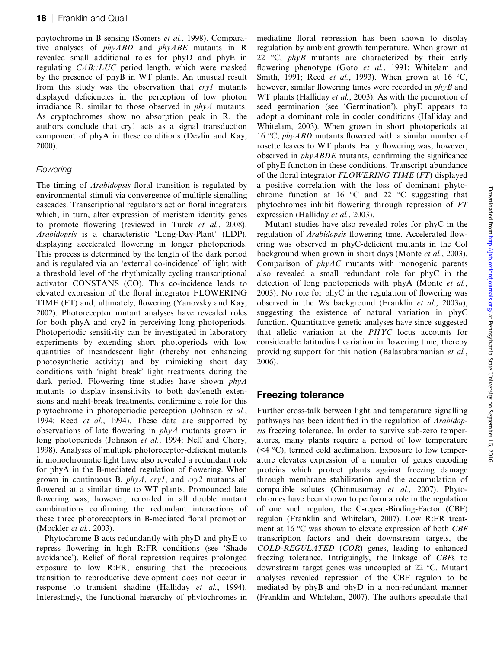phytochrome in B sensing (Somers et al., 1998). Comparative analyses of phyABD and phyABE mutants in R revealed small additional roles for phyD and phyE in regulating CAB::LUC period length, which were masked by the presence of phyB in WT plants. An unusual result from this study was the observation that cry1 mutants displayed deficiencies in the perception of low photon irradiance R, similar to those observed in phyA mutants. As cryptochromes show no absorption peak in R, the authors conclude that cry1 acts as a signal transduction component of phyA in these conditions (Devlin and Kay, 2000).

### **Flowering**

The timing of *Arabidopsis* floral transition is regulated by environmental stimuli via convergence of multiple signalling cascades. Transcriptional regulators act on floral integrators which, in turn, alter expression of meristem identity genes to promote flowering (reviewed in Turck et al., 2008). Arabidopsis is a characteristic 'Long-Day-Plant' (LDP), displaying accelerated flowering in longer photoperiods. This process is determined by the length of the dark period and is regulated via an 'external co-incidence' of light with a threshold level of the rhythmically cycling transcriptional activator CONSTANS (CO). This co-incidence leads to elevated expression of the floral integrator FLOWERING TIME (FT) and, ultimately, flowering (Yanovsky and Kay, 2002). Photoreceptor mutant analyses have revealed roles for both phyA and cry2 in perceiving long photoperiods. Photoperiodic sensitivity can be investigated in laboratory experiments by extending short photoperiods with low quantities of incandescent light (thereby not enhancing photosynthetic activity) and by mimicking short day conditions with 'night break' light treatments during the dark period. Flowering time studies have shown  $phyA$ mutants to display insensitivity to both daylength extensions and night-break treatments, confirming a role for this phytochrome in photoperiodic perception (Johnson et al., 1994; Reed *et al.*, 1994). These data are supported by observations of late flowering in phyA mutants grown in long photoperiods (Johnson *et al.*, 1994; Neff and Chory, 1998). Analyses of multiple photoreceptor-deficient mutants in monochromatic light have also revealed a redundant role for phyA in the B-mediated regulation of flowering. When grown in continuous B, phyA, cry1, and cry2 mutants all flowered at a similar time to WT plants. Pronounced late flowering was, however, recorded in all double mutant combinations confirming the redundant interactions of these three photoreceptors in B-mediated floral promotion (Mockler et al., 2003).

Phytochrome B acts redundantly with phyD and phyE to repress flowering in high R:FR conditions (see 'Shade avoidance'). Relief of floral repression requires prolonged exposure to low R:FR, ensuring that the precocious transition to reproductive development does not occur in response to transient shading (Halliday *et al.*, 1994). Interestingly, the functional hierarchy of phytochromes in mediating floral repression has been shown to display regulation by ambient growth temperature. When grown at 22 °C,  $phyB$  mutants are characterized by their early flowering phenotype (Goto et al., 1991; Whitelam and Smith, 1991; Reed *et al.*, 1993). When grown at 16 °C, however, similar flowering times were recorded in  $phyB$  and WT plants (Halliday *et al.*, 2003). As with the promotion of seed germination (see 'Germination'), phyE appears to adopt a dominant role in cooler conditions (Halliday and Whitelam, 2003). When grown in short photoperiods at 16 °C, *phyABD* mutants flowered with a similar number of rosette leaves to WT plants. Early flowering was, however, observed in  $phyABDE$  mutants, confirming the significance of phyE function in these conditions. Transcript abundance of the floral integrator FLOWERING TIME (FT) displayed a positive correlation with the loss of dominant phytochrome function at 16  $\degree$ C and 22  $\degree$ C suggesting that phytochromes inhibit flowering through repression of FT expression (Halliday et al., 2003).

Mutant studies have also revealed roles for phyC in the regulation of Arabidopsis flowering time. Accelerated flowering was observed in phyC-deficient mutants in the Col background when grown in short days (Monte et al., 2003). Comparison of phyAC mutants with monogenic parents also revealed a small redundant role for phyC in the detection of long photoperiods with phyA (Monte *et al.*, 2003). No role for phyC in the regulation of flowering was observed in the Ws background (Franklin et al., 2003a), suggesting the existence of natural variation in phyC function. Quantitative genetic analyses have since suggested that allelic variation at the PHYC locus accounts for considerable latitudinal variation in flowering time, thereby providing support for this notion (Balasubramanian et al., 2006).

### Freezing tolerance

Further cross-talk between light and temperature signalling pathways has been identified in the regulation of Arabidopsis freezing tolerance. In order to survive sub-zero temperatures, many plants require a period of low temperature  $(\leq 4 \degree C)$ , termed cold acclimation. Exposure to low temperature elevates expression of a number of genes encoding proteins which protect plants against freezing damage through membrane stabilization and the accumulation of compatible solutes (Chinnusumay et al., 2007). Phytochromes have been shown to perform a role in the regulation of one such regulon, the C-repeat-Binding-Factor (CBF) regulon (Franklin and Whitelam, 2007). Low R:FR treatment at 16  $\degree$ C was shown to elevate expression of both *CBF* transcription factors and their downstream targets, the COLD-REGULATED (COR) genes, leading to enhanced freezing tolerance. Intriguingly, the linkage of CBFs to downstream target genes was uncoupled at  $22 \degree C$ . Mutant analyses revealed repression of the CBF regulon to be mediated by phyB and phyD in a non-redundant manner (Franklin and Whitelam, 2007). The authors speculate that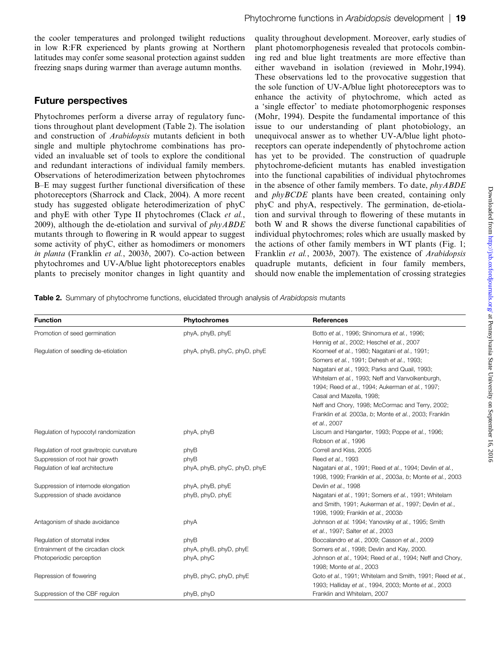the cooler temperatures and prolonged twilight reductions in low R:FR experienced by plants growing at Northern latitudes may confer some seasonal protection against sudden freezing snaps during warmer than average autumn months.

### Future perspectives

Phytochromes perform a diverse array of regulatory functions throughout plant development (Table 2). The isolation and construction of Arabidopsis mutants deficient in both single and multiple phytochrome combinations has provided an invaluable set of tools to explore the conditional and redundant interactions of individual family members. Observations of heterodimerization between phytochromes B–E may suggest further functional diversification of these photoreceptors (Sharrock and Clack, 2004). A more recent study has suggested obligate heterodimerization of phyC and phyE with other Type II phytochromes (Clack et al., 2009), although the de-etiolation and survival of  $phyABDE$ mutants through to flowering in R would appear to suggest some activity of phyC, either as homodimers or monomers in planta (Franklin et al., 2003b, 2007). Co-action between phytochromes and UV-A/blue light photoreceptors enables plants to precisely monitor changes in light quantity and

quality throughout development. Moreover, early studies of plant photomorphogenesis revealed that protocols combining red and blue light treatments are more effective than either waveband in isolation (reviewed in Mohr,1994). These observations led to the provocative suggestion that the sole function of UV-A/blue light photoreceptors was to enhance the activity of phytochrome, which acted as a 'single effector' to mediate photomorphogenic responses (Mohr, 1994). Despite the fundamental importance of this issue to our understanding of plant photobiology, an unequivocal answer as to whether UV-A/blue light photoreceptors can operate independently of phytochrome action has yet to be provided. The construction of quadruple phytochrome-deficient mutants has enabled investigation into the functional capabilities of individual phytochromes in the absence of other family members. To date, phyABDE and phyBCDE plants have been created, containing only phyC and phyA, respectively. The germination, de-etiolation and survival through to flowering of these mutants in both W and R shows the diverse functional capabilities of individual phytochromes; roles which are usually masked by the actions of other family members in WT plants (Fig. 1; Franklin et al., 2003b, 2007). The existence of Arabidopsis quadruple mutants, deficient in four family members, should now enable the implementation of crossing strategies

Table 2. Summary of phytochrome functions, elucidated through analysis of Arabidopsis mutants

| <b>Function</b>                          | <b>Phytochromes</b>          | <b>References</b>                                         |
|------------------------------------------|------------------------------|-----------------------------------------------------------|
| Promotion of seed germination            | phyA, phyB, phyE             | Botto et al., 1996; Shinomura et al., 1996;               |
|                                          |                              | Hennig et al., 2002; Heschel et al., 2007                 |
| Regulation of seedling de-etiolation     | phyA, phyB, phyC, phyD, phyE | Koorneef et al., 1980; Nagatani et al., 1991;             |
|                                          |                              | Somers et al., 1991; Dehesh et al., 1993;                 |
|                                          |                              | Nagatani et al., 1993; Parks and Quail, 1993;             |
|                                          |                              | Whitelam et al., 1993; Neff and Vanvolkenburgh,           |
|                                          |                              | 1994; Reed et al., 1994; Aukerman et al., 1997;           |
|                                          |                              | Casal and Mazella, 1998;                                  |
|                                          |                              | Neff and Chory, 1998; McCormac and Terry, 2002;           |
|                                          |                              | Franklin et al. 2003a, b; Monte et al., 2003; Franklin    |
|                                          |                              | et al., 2007                                              |
| Regulation of hypocotyl randomization    | phyA, phyB                   | Liscum and Hangarter, 1993; Poppe et al., 1996;           |
|                                          |                              | Robson et al., 1996                                       |
| Regulation of root gravitropic curvature | phyB                         | Correll and Kiss, 2005                                    |
| Suppression of root hair growth          | phyB                         | Reed et al., 1993                                         |
| Regulation of leaf architecture          | phyA, phyB, phyC, phyD, phyE | Nagatani et al., 1991; Reed et al., 1994; Devlin et al.,  |
|                                          |                              | 1998, 1999; Franklin et al., 2003a, b; Monte et al., 2003 |
| Suppression of internode elongation      | phyA, phyB, phyE             | Devlin et al., 1998                                       |
| Suppression of shade avoidance           | phyB, phyD, phyE             | Nagatani et al., 1991; Somers et al., 1991; Whitelam      |
|                                          |                              | and Smith, 1991; Aukerman et al., 1997; Devlin et al.,    |
|                                          |                              | 1998, 1999; Franklin et al., 2003b                        |
| Antagonism of shade avoidance            | phyA                         | Johnson et al. 1994; Yanovsky et al., 1995; Smith         |
|                                          |                              | et al., 1997; Salter et al., 2003                         |
| Regulation of stomatal index             | phyB                         | Boccalandro et al., 2009; Casson et al., 2009             |
| Entrainment of the circadian clock       | phyA, phyB, phyD, phyE       | Somers et al., 1998; Devlin and Kay, 2000.                |
| Photoperiodic perception                 | phyA, phyC                   | Johnson et al., 1994; Reed et al., 1994; Neff and Chory,  |
|                                          |                              | 1998; Monte et al., 2003                                  |
| Repression of flowering                  | phyB, phyC, phyD, phyE       | Goto et al., 1991; Whitelam and Smith, 1991; Reed et al., |
|                                          |                              | 1993; Halliday et al., 1994, 2003; Monte et al., 2003     |
| Suppression of the CBF regulon           | phyB, phyD                   | Franklin and Whitelam, 2007                               |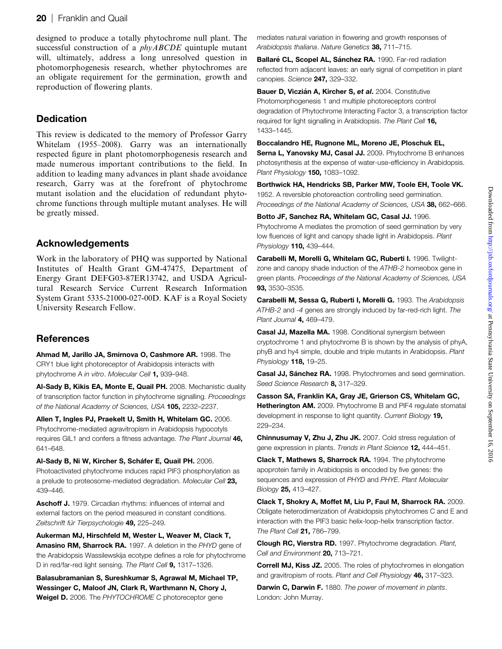designed to produce a totally phytochrome null plant. The successful construction of a *phyABCDE* quintuple mutant will, ultimately, address a long unresolved question in photomorphogenesis research, whether phytochromes are an obligate requirement for the germination, growth and reproduction of flowering plants.

# **Dedication**

This review is dedicated to the memory of Professor Garry Whitelam (1955–2008). Garry was an internationally respected figure in plant photomorphogenesis research and made numerous important contributions to the field. In addition to leading many advances in plant shade avoidance research, Garry was at the forefront of phytochrome mutant isolation and the elucidation of redundant phytochrome functions through multiple mutant analyses. He will be greatly missed.

# Acknowledgements

Work in the laboratory of PHQ was supported by National Institutes of Health Grant GM-47475, Department of Energy Grant DEFG03-87ER13742, and USDA Agricultural Research Service Current Research Information System Grant 5335-21000-027-00D. KAF is a Royal Society University Research Fellow.

# **References**

Ahmad M, Jarillo JA, Smirnova O, Cashmore AR. 1998. The CRY1 blue light photoreceptor of Arabidopsis interacts with phytochrome A in vitro. Molecular Cell 1, 939–948.

Al-Sady B, Kikis EA, Monte E, Quail PH. 2008. Mechanistic duality of transcription factor function in phytochrome signalling. Proceedings of the National Academy of Sciences, USA 105, 2232-2237.

Allen T, Ingles PJ, Praekelt U, Smith H, Whitelam GC. 2006. Phytochrome-mediated agravitropism in Arabidopsis hypocotyls requires GIL1 and confers a fitness advantage. The Plant Journal 46, 641–648.

Al-Sady B, Ni W, Kircher S, Scháfer E, Quail PH. 2006. Photoactivated phytochrome induces rapid PIF3 phosphorylation as a prelude to proteosome-mediated degradation. Molecular Cell 23, 439–446.

Aschoff J. 1979. Circadian rhythms: influences of internal and external factors on the period measured in constant conditions. Zeitschrift für Tierpsychologie 49, 225-249.

Aukerman MJ, Hirschfeld M, Wester L, Weaver M, Clack T, Amasino RM, Sharrock RA. 1997. A deletion in the PHYD gene of the Arabidopsis Wassilewskija ecotype defines a role for phytochrome D in red/far-red light sensing. The Plant Cell 9, 1317-1326.

Balasubramanian S, Sureshkumar S, Agrawal M, Michael TP, Wessinger C, Maloof JN, Clark R, Warthmann N, Chory J, Weigel D. 2006. The PHYTOCHROME C photoreceptor gene

mediates natural variation in flowering and growth responses of Arabidopsis thaliana. Nature Genetics 38, 711-715.

Ballaré CL, Scopel AL, Sánchez RA. 1990. Far-red radiation reflected from adjacent leaves: an early signal of competition in plant canopies. Science 247, 329-332.

Bauer D, Viczián A, Kircher S, et al. 2004. Constitutive Photomorphogenesis 1 and multiple photoreceptors control degradation of Phytochrome Interacting Factor 3, a transcription factor required for light signalling in Arabidopsis. The Plant Cell 16, 1433–1445.

### Boccalandro HE, Rugnone ML, Moreno JE, Ploschuk EL,

Serna L, Yanovsky MJ, Casal JJ. 2009. Phytochrome B enhances photosynthesis at the expense of water-use-efficiency in Arabidopsis. Plant Physiology 150, 1083-1092.

Borthwick HA, Hendricks SB, Parker MW, Toole EH, Toole VK. 1952. A reversible photoreaction controlling seed germination. Proceedings of the National Academy of Sciences, USA 38, 662-666.

Botto JF, Sanchez RA, Whitelam GC, Casal JJ. 1996. Phytochrome A mediates the promotion of seed germination by very low fluences of light and canopy shade light in Arabidopsis. Plant Physiology **110,** 439-444.

Carabelli M, Morelli G, Whitelam GC, Ruberti I. 1996. Twilightzone and canopy shade induction of the ATHB-2 homeobox gene in green plants. Proceedings of the National Academy of Sciences, USA 93, 3530–3535.

Carabelli M, Sessa G, Ruberti I, Morelli G. 1993. The Arabidopsis ATHB-2 and -4 genes are strongly induced by far-red-rich light. The Plant Journal **4,** 469-479.

Casal JJ, Mazella MA. 1998. Conditional synergism between cryptochrome 1 and phytochrome B is shown by the analysis of phyA, phyB and hy4 simple, double and triple mutants in Arabidopsis. Plant Physiology 118, 19-25.

Casal JJ, Sánchez RA. 1998. Phytochromes and seed germination. Seed Science Research 8, 317-329.

Casson SA, Franklin KA, Gray JE, Grierson CS, Whitelam GC, Hetherington AM. 2009. Phytochrome B and PIF4 regulate stomatal development in response to light quantity. Current Biology 19, 229–234.

Chinnusumay V, Zhu J, Zhu JK. 2007. Cold stress regulation of gene expression in plants. Trends in Plant Science 12, 444-451.

Clack T, Mathews S, Sharrock RA. 1994. The phytochrome apoprotein family in Arabidopsis is encoded by five genes: the sequences and expression of PHYD and PHYE. Plant Molecular Biology 25, 413–427.

Clack T, Shokry A, Moffet M, Liu P, Faul M, Sharrock RA. 2009. Obligate heterodimerization of Arabidopsis phytochromes C and E and interaction with the PIF3 basic helix-loop-helix transcription factor. The Plant Cell **21.** 786-799.

Clough RC, Vierstra RD. 1997. Phytochrome degradation. Plant, Cell and Environment 20, 713-721.

Correll MJ, Kiss JZ. 2005. The roles of phytochromes in elongation and gravitropism of roots. Plant and Cell Physiology 46, 317–323.

**Darwin C. Darwin F.** 1880. The power of movement in plants. London: John Murray.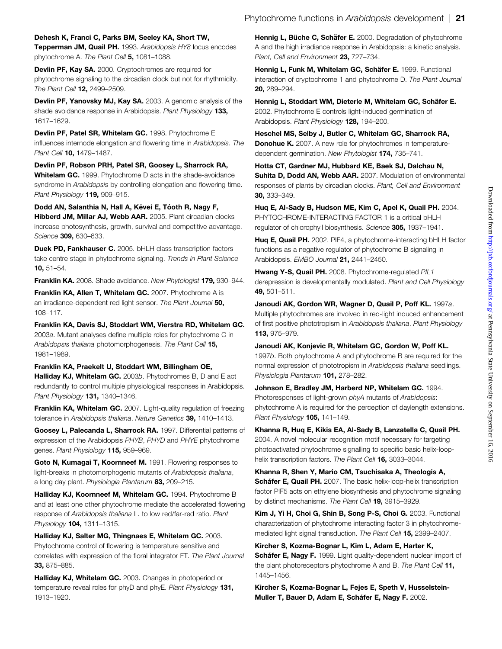Dehesh K, Franci C, Parks BM, Seeley KA, Short TW,

Tepperman JM, Quail PH. 1993. Arabidopsis HY8 locus encodes phytochrome A. The Plant Cell 5, 1081-1088.

Devlin PF, Kay SA. 2000. Cryptochromes are required for phytochrome signaling to the circadian clock but not for rhythmicity. The Plant Cell 12, 2499-2509.

Devlin PF, Yanovsky MJ, Kay SA. 2003. A genomic analysis of the shade avoidance response in Arabidopsis. Plant Physiology 133, 1617–1629.

Devlin PF, Patel SR, Whitelam GC. 1998. Phytochrome E influences internode elongation and flowering time in Arabidopsis. The Plant Cell **10,** 1479-1487.

Devlin PF, Robson PRH, Patel SR, Goosey L, Sharrock RA, Whitelam GC. 1999. Phytochrome D acts in the shade-avoidance syndrome in Arabidopsis by controlling elongation and flowering time. Plant Physiology 119, 909-915.

Dodd AN, Salanthia N, Hall A, Kévei E, Tóoth R, Nagy F, Hibberd JM, Millar AJ, Webb AAR. 2005. Plant circadian clocks increase photosynthesis, growth, survival and competitive advantage. Science 309, 630–633.

Duek PD, Fankhauser C. 2005. bHLH class transcription factors take centre stage in phytochrome signaling. Trends in Plant Science 10, 51–54.

Franklin KA. 2008. Shade avoidance. New Phytologist 179, 930–944.

Franklin KA, Allen T, Whitelam GC. 2007. Phytochrome A is an irradiance-dependent red light sensor. The Plant Journal 50, 108–117.

Franklin KA, Davis SJ, Stoddart WM, Vierstra RD, Whitelam GC. 2003a. Mutant analyses define multiple roles for phytochrome C in Arabidopsis thaliana photomorphogenesis. The Plant Cell 15, 1981–1989.

Franklin KA, Praekelt U, Stoddart WM, Billingham OE, Halliday KJ, Whitelam GC. 2003b. Phytochromes B, D and E act redundantly to control multiple physiological responses in Arabidopsis. Plant Physiology 131, 1340–1346.

**Franklin KA, Whitelam GC.** 2007. Light-quality regulation of freezing tolerance in Arabidopsis thaliana. Nature Genetics 39, 1410-1413.

Goosey L, Palecanda L, Sharrock RA. 1997. Differential patterns of expression of the Arabidopsis PHYB, PHYD and PHYE phytochrome genes. Plant Physiology 115, 959-969.

Goto N, Kumagai T, Koornneef M. 1991. Flowering responses to light-breaks in photomorphogenic mutants of Arabidopsis thaliana, a long day plant. Physiologia Plantarum 83, 209–215.

Halliday KJ, Koornneef M, Whitelam GC. 1994. Phytochrome B and at least one other phytochrome mediate the accelerated flowering response of Arabidopsis thaliana L. to low red/far-red ratio. Plant Physiology 104, 1311-1315.

Halliday KJ, Salter MG, Thingnaes E, Whitelam GC. 2003. Phytochrome control of flowering is temperature sensitive and correlates with expression of the floral integrator FT. The Plant Journal 33, 875–885.

Halliday KJ. Whitelam GC. 2003. Changes in photoperiod or temperature reveal roles for phyD and phyE. Plant Physiology 131. 1913–1920.

Hennig L, Büche C, Schäfer E. 2000. Degradation of phytochrome A and the high irradiance response in Arabidopsis: a kinetic analysis. Plant, Cell and Environment 23, 727-734.

Hennig L, Funk M, Whitelam GC, Schäfer E, 1999. Functional interaction of cryptochrome 1 and phytochrome D. The Plant Journal 20, 289–294.

Hennig L, Stoddart WM, Dieterle M, Whitelam GC, Schäfer E. 2002. Phytochrome E controls light-induced germination of Arabidopsis. Plant Physiology 128, 194–200.

Heschel MS, Selby J, Butler C, Whitelam GC, Sharrock RA, **Donohue K.** 2007. A new role for phytochromes in temperaturedependent germination. New Phytologist 174. 735–741.

Hotta CT, Gardner MJ, Hubbard KE, Baek SJ, Dalchau N, Suhita D, Dodd AN, Webb AAR. 2007. Modulation of environmental responses of plants by circadian clocks. Plant, Cell and Environment 30, 333–349.

Huq E, Al-Sady B, Hudson ME, Kim C, Apel K, Quail PH. 2004. PHYTOCHROME-INTERACTING FACTOR 1 is a critical bHLH regulator of chlorophyll biosynthesis. Science 305, 1937-1941.

Huq E, Quail PH. 2002. PIF4, a phytochrome-interacting bHLH factor functions as a negative regulator of phytochrome B signaling in Arabidopsis. EMBO Journal 21, 2441-2450.

Hwang Y-S, Quail PH. 2008. Phytochrome-regulated PIL1 derepression is developmentally modulated. Plant and Cell Physiology 49, 501–511.

Janoudi AK, Gordon WR, Wagner D, Quail P, Poff KL. 1997a. Multiple phytochromes are involved in red-light induced enhancement of first positive phototropism in Arabidopsis thaliana. Plant Physiology 113, 975–979.

Janoudi AK, Konjevic R, Whitelam GC, Gordon W, Poff KL. 1997b. Both phytochrome A and phytochrome B are required for the normal expression of phototropism in Arabidopsis thaliana seedlings. Physiologia Plantarum 101, 278–282.

Johnson E, Bradley JM, Harberd NP, Whitelam GC. 1994. Photoresponses of light-grown phyA mutants of Arabidopsis: phytochrome A is required for the perception of daylength extensions. Plant Physiology 105, 141-149.

Khanna R, Huq E, Kikis EA, Al-Sady B, Lanzatella C, Quail PH. 2004. A novel molecular recognition motif necessary for targeting photoactivated phytochrome signalling to specific basic helix-loophelix transcription factors. The Plant Cell 16, 3033-3044.

Khanna R, Shen Y, Mario CM, Tsuchisaka A, Theologis A, Schafer E, Quail PH. 2007. The basic helix-loop-helix transcription factor PIF5 acts on ethylene biosynthesis and phytochrome signaling by distinct mechanisms. The Plant Cell 19, 3915-3929.

Kim J, Yi H, Choi G, Shin B, Song P-S, Choi G. 2003. Functional characterization of phytochrome interacting factor 3 in phytochromemediated light signal transduction. The Plant Cell 15, 2399–2407.

Kircher S, Kozma-Bognar L, Kim L, Adam E, Harter K, Schafer E, Nagy F. 1999. Light quality-dependent nuclear import of the plant photoreceptors phytochrome A and B. The Plant Cell 11, 1445–1456.

Kircher S, Kozma-Bognar L, Fejes E, Speth V, Husselstein-Muller T. Bauer D. Adam E. Schafer E. Nagy F. 2002.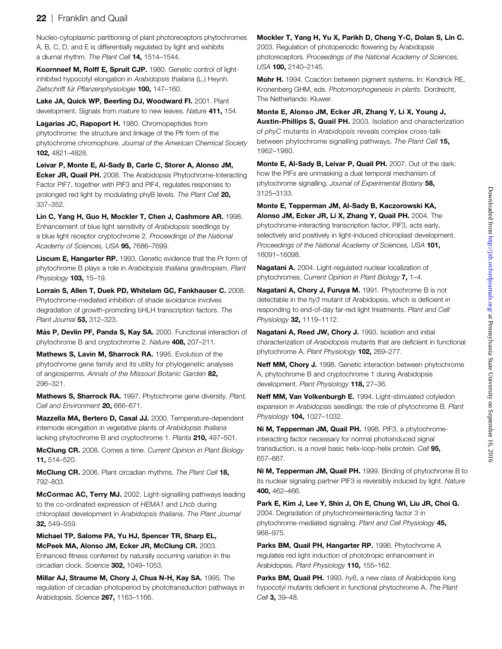# 22 | Franklin and Quail

Nucleo-cytoplasmic partitioning of plant photoreceptors phytochromes A, B, C, D, and E is differentially regulated by light and exhibits a diurnal rhythm. The Plant Cell 14, 1514-1544.

Koornneef M, Rolff E, Spruit CJP. 1980. Genetic control of lightinhibited hypocotyl elongation in Arabidopsis thaliana (L.) Heynh. Zeitschrift für Pflanzenphysiologie 100, 147-160.

Lake JA, Quick WP, Beerling DJ, Woodward FI. 2001. Plant development. Signals from mature to new leaves. Nature 411, 154.

Lagarias JC, Rapoport H. 1980. Chromopeptides from phytochrome: the structure and linkage of the Pfr form of the phytochrome chromophore. Journal of the American Chemical Society 102, 4821–4828.

Leivar P, Monte E, Al-Sady B, Carle C, Storer A, Alonso JM, Ecker JR, Quail PH. 2008. The Arabidopsis Phytochrome-Interacting Factor PIF7, together with PIF3 and PIF4, regulates responses to prolonged red light by modulating phyB levels. The Plant Cell 20, 337–352.

Lin C, Yang H, Guo H, Mockler T, Chen J, Cashmore AR. 1998. Enhancement of blue light sensitivity of Arabidopsis seedlings by a blue light receptor cryptochrome 2. Proceedings of the National Academy of Sciences, USA 95, 7686-7699.

Liscum E, Hangarter RP. 1993. Genetic evidence that the Pr form of phytochrome B plays a role in Arabidopsis thaliana gravitropism. Plant Physiology **103,** 15-19.

Lorrain S, Allen T, Duek PD, Whitelam GC, Fankhauser C. 2008. Phytochrome-mediated inhibition of shade avoidance involves degradation of growth-promoting bHLH transcription factors. The Plant Journal 53, 312-323.

Más P, Devlin PF, Panda S, Kay SA. 2000. Functional interaction of phytochrome B and cryptochrome 2. Nature 408, 207–211.

Mathews S, Lavin M, Sharrock RA. 1995. Evolution of the phytochrome gene family and its utility for phylogenetic analyses of angiosperms. Annals of the Missouri Botanic Garden 82, 296–321.

Mathews S, Sharrock RA. 1997. Phytochrome gene diversity. Plant, Cell and Environment 20, 666-671.

Mazzella MA, Bertero D, Casal JJ. 2000. Temperature-dependent internode elongation in vegetative plants of Arabidopsis thaliana lacking phytochrome B and cryptochrome 1. Planta 210, 497-501.

McClung CR. 2008. Comes a time. Current Opinion in Plant Biology 11, 514–520.

McClung CR. 2006. Plant circadian rhythms. The Plant Cell 18, 792–803.

McCormac AC, Terry MJ. 2002. Light-signalling pathways leading to the co-ordinated expression of HEMA1 and Lhcb during chloroplast development in Arabidopsis thaliana. The Plant Journal 32, 549–559.

Michael TP, Salome PA, Yu HJ, Spencer TR, Sharp EL, McPeek MA, Alonso JM, Ecker JR, McClung CR. 2003. Enhanced fitness conferred by naturally occurring variation in the circadian clock. Science 302, 1049–1053.

Millar AJ, Straume M, Chory J, Chua N-H, Kay SA. 1995. The regulation of circadian photoperiod by phototransduction pathways in Arabidopsis. Science 267, 1163-1166.

Mockler T, Yang H, Yu X, Parikh D, Cheng Y-C, Dolan S, Lin C. 2003. Regulation of photoperiodic flowering by Arabidopsis photoreceptors. Proceedings of the National Academy of Sciences, USA 100, 2140–2145.

Mohr H. 1994. Coaction between pigment systems. In: Kendrick RE, Kronenberg GHM, eds. Photomorphogenesis in plants. Dordrecht, The Netherlands: Kluwer.

Monte E, Alonso JM, Ecker JR, Zhang Y, Li X, Young J, Austin-Phillips S, Quail PH. 2003. Isolation and characterization of phyC mutants in Arabidopsis reveals complex cross-talk between phytochrome signalling pathways. The Plant Cell 15, 1962–1980.

Monte E, Al-Sady B, Leivar P, Quail PH. 2007. Out of the dark: how the PIFs are unmasking a dual temporal mechanism of phytochrome signalling. Journal of Experimental Botany 58, 3125–3133.

Monte E, Tepperman JM, Al-Sady B, Kaczorowski KA, Alonso JM, Ecker JR, Li X, Zhang Y, Quail PH. 2004. The phytochrome-interacting transcription factor, PIF3, acts early, selectively and positively in light-induced chloroplast development. Proceedings of the National Academy of Sciences, USA 101, 16091–16098.

Nagatani A. 2004. Light-regulated nuclear localization of phytochromes. Current Opinion in Plant Biology 7, 1-4.

Nagatani A, Chory J, Furuya M. 1991. Phytochrome B is not detectable in the hy3 mutant of Arabidopsis, which is deficient in responding to end-of-day far-red light treatments. Plant and Cell Physiology 32, 1119-1112.

Nagatani A, Reed JW, Chory J. 1993. Isolation and initial characterization of Arabidopsis mutants that are deficient in functional phytochrome A. Plant Physiology 102, 269-277.

Neff MM, Chory J. 1998. Genetic interaction between phytochrome A, phytochrome B and cryptochrome 1 during Arabidopsis development. Plant Physiology 118, 27-36.

Neff MM, Van Volkenburgh E. 1994. Light-stimulated cotyledon expansion in Arabidopsis seedlings: the role of phytochrome B. Plant Physiology 104, 1027-1032.

Ni M, Tepperman JM, Quail PH. 1998. PIF3, a phytochromeinteracting factor necessary for normal photoinduced signal transduction, is a novel basic helix-loop-helix protein. Cell 95, 657–667.

Ni M, Tepperman JM, Quail PH. 1999. Binding of phytochrome B to its nuclear signaling partner PIF3 is reversibly induced by light. Nature 400, 462–466.

Park E, Kim J, Lee Y, Shin J, Oh E, Chung WI, Liu JR, Choi G. 2004. Degradation of phytochromeinteracting factor 3 in phytochrome-mediated signaling. Plant and Cell Physiology 45, 968–975.

Parks BM, Quail PH, Hangarter RP. 1996. Phytochrome A regulates red light induction of phototropic enhancement in Arabidopsis. Plant Physiology 110, 155-162.

Parks BM. Quail PH. 1993. hv8, a new class of Arabidopsis long hypocotyl mutants deficient in functional phytochrome A. The Plant Cell 3, 39-48.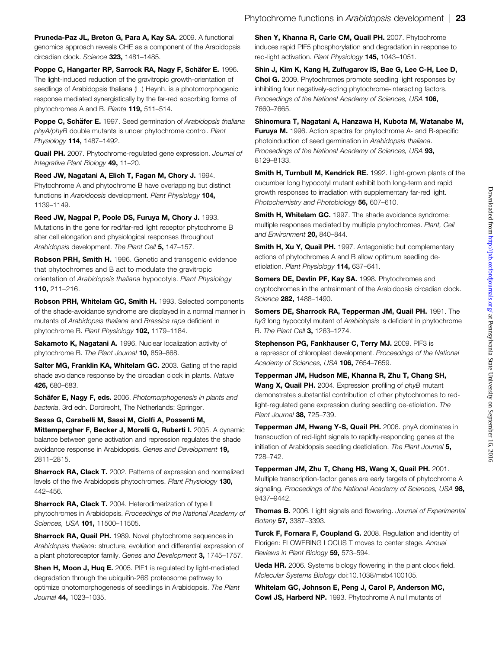Pruneda-Paz JL, Breton G, Para A, Kay SA. 2009. A functional genomics approach reveals CHE as a component of the Arabidopsis circadian clock. Science 323, 1481–1485.

Poppe C, Hangarter RP, Sarrock RA, Nagy F, Schäfer E. 1996. The light-induced reduction of the gravitropic growth-orientation of seedlings of Arabidopsis thaliana (L.) Heynh. is a photomorphogenic response mediated synergistically by the far-red absorbing forms of phytochromes A and B. Planta 119, 511–514.

Poppe C, Schäfer E. 1997. Seed germination of Arabidopsis thaliana phyA/phyB double mutants is under phytochrome control. Plant Physiology 114, 1487–1492.

Quail PH. 2007. Phytochrome-regulated gene expression. Journal of Integrative Plant Biology 49, 11–20.

Reed JW, Nagatani A, Elich T, Fagan M, Chory J. 1994. Phytochrome A and phytochrome B have overlapping but distinct functions in Arabidopsis development. Plant Physiology 104, 1139–1149.

Reed JW, Nagpal P, Poole DS, Furuya M, Chory J. 1993. Mutations in the gene for red/far-red light receptor phytochrome B alter cell elongation and physiological responses throughout Arabidopsis development. The Plant Cell 5, 147-157.

Robson PRH, Smith H. 1996. Genetic and transgenic evidence that phytochromes and B act to modulate the gravitropic orientation of Arabidopsis thaliana hypocotyls. Plant Physiology 110, 211–216.

Robson PRH, Whitelam GC, Smith H. 1993. Selected components of the shade-avoidance syndrome are displayed in a normal manner in mutants of Arabidopsis thaliana and Brassica rapa deficient in phytochrome B. Plant Physiology 102, 1179–1184.

Sakamoto K, Nagatani A. 1996. Nuclear localization activity of phytochrome B. The Plant Journal 10, 859-868.

Salter MG. Franklin KA. Whitelam GC. 2003. Gating of the rapid shade avoidance response by the circadian clock in plants. Nature 426, 680–683.

Schäfer E, Nagy F, eds. 2006. Photomorphogenesis in plants and bacteria, 3rd edn. Dordrecht, The Netherlands: Springer.

Sessa G, Carabelli M, Sassi M, Ciolfi A, Possenti M, Mittempergher F, Becker J, Morelli G, Ruberti I. 2005. A dynamic balance between gene activation and repression regulates the shade avoidance response in Arabidopsis. Genes and Development 19, 2811–2815.

**Sharrock RA, Clack T.** 2002. Patterns of expression and normalized levels of the five Arabidopsis phytochromes. Plant Physiology 130, 442–456.

Sharrock RA, Clack T. 2004. Heterodimerization of type II phytochromes in Arabidopsis. Proceedings of the National Academy of Sciences, USA **101,** 11500-11505.

**Sharrock RA, Quail PH.** 1989. Novel phytochrome sequences in Arabidopsis thaliana: structure, evolution and differential expression of a plant photoreceptor family. Genes and Development 3, 1745–1757.

Shen H. Moon J. Hug E. 2005. PIF1 is regulated by light-mediated degradation through the ubiquitin-26S proteosome pathway to optimize photomorphogenesis of seedlings in Arabidopsis. The Plant Journal 44, 1023–1035.

Shen Y, Khanna R, Carle CM, Quail PH. 2007. Phytochrome induces rapid PIF5 phosphorylation and degradation in response to red-light activation. Plant Physiology 145, 1043-1051.

Shin J, Kim K, Kang H, Zulfugarov IS, Bae G, Lee C-H, Lee D, Choi G. 2009. Phytochromes promote seedling light responses by inhibiting four negatively-acting phytochrome-interacting factors. Proceedings of the National Academy of Sciences, USA 106, 7660–7665.

Shinomura T, Nagatani A, Hanzawa H, Kubota M, Watanabe M, **Furuya M.** 1996. Action spectra for phytochrome A- and B-specific photoinduction of seed germination in Arabidopsis thaliana. Proceedings of the National Academy of Sciences, USA 93, 8129–8133.

Smith H, Turnbull M, Kendrick RE. 1992. Light-grown plants of the cucumber long hypocotyl mutant exhibit both long-term and rapid growth responses to irradiation with supplementary far-red light. Photochemistry and Photobiology 56, 607-610.

**Smith H. Whitelam GC.** 1997. The shade avoidance syndrome: multiple responses mediated by multiple phytochromes. Plant, Cell and Environment 20, 840-844.

Smith H, Xu Y, Quail PH. 1997. Antagonistic but complementary actions of phytochromes A and B allow optimum seedling deetiolation. Plant Physiology 114, 637-641.

Somers DE. Devlin PF. Kav SA. 1998. Phytochromes and cryptochromes in the entrainment of the Arabidopsis circadian clock. Science 282, 1488–1490.

Somers DE, Sharrock RA, Tepperman JM, Quail PH. 1991. The hy3 long hypocotyl mutant of Arabidopsis is deficient in phytochrome B. The Plant Cell 3, 1263–1274.

Stephenson PG, Fankhauser C, Terry MJ. 2009. PIF3 is a repressor of chloroplast development. Proceedings of the National Academy of Sciences, USA 106, 7654-7659.

Tepperman JM, Hudson ME, Khanna R, Zhu T, Chang SH, Wang X, Quail PH. 2004. Expression profiling of phyB mutant demonstrates substantial contribution of other phytochromes to redlight-regulated gene expression during seedling de-etiolation. The Plant Journal 38, 725-739.

Tepperman JM, Hwang Y-S, Quail PH. 2006. phyA dominates in transduction of red-light signals to rapidly-responding genes at the initiation of Arabidopsis seedling deetiolation. The Plant Journal 5, 728–742.

Tepperman JM, Zhu T, Chang HS, Wang X, Quail PH. 2001. Multiple transcription-factor genes are early targets of phytochrome A signaling. Proceedings of the National Academy of Sciences, USA 98, 9437–9442.

Thomas B. 2006. Light signals and flowering. Journal of Experimental Botany 57, 3387–3393.

Turck F, Fornara F, Coupland G. 2008. Regulation and identity of Florigen: FLOWERING LOCUS T moves to center stage. Annual Reviews in Plant Biology 59, 573–594.

Ueda HR. 2006. Systems biology flowering in the plant clock field. Molecular Systems Biology doi:10.1038/msb4100105.

Whitelam GC, Johnson E, Peng J, Carol P, Anderson MC, Cowl JS, Harberd NP. 1993. Phytochrome A null mutants of